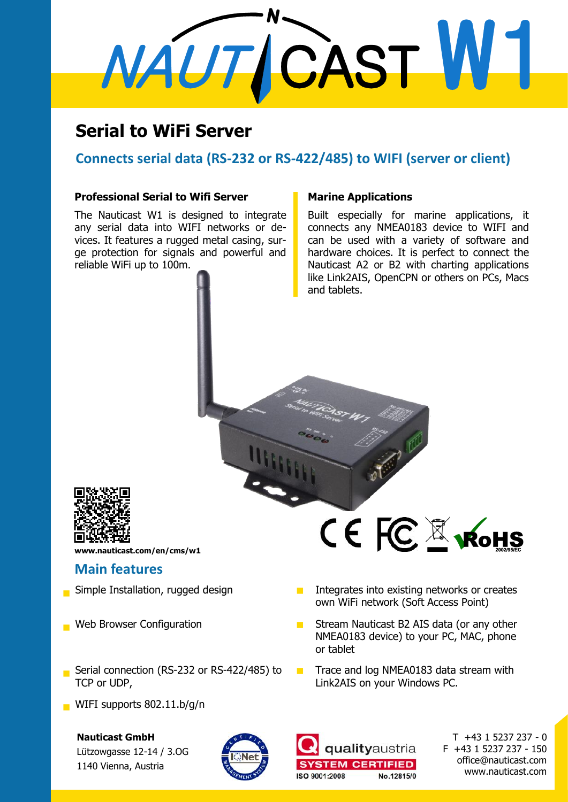# NAUTICAST W1

### **Serial to WiFi Server**

#### **Connects serial data (RS-232 or RS-422/485) to WIFI (server or client)**

#### **Professional Serial to Wifi Server**

The Nauticast W1 is designed to integrate any serial data into WIFI networks or devices. It features a rugged metal casing, surge protection for signals and powerful and reliable WiFi up to 100m.

#### **Marine Applications**

Built especially for marine applications, it connects any NMEA0183 device to WIFI and can be used with a variety of software and hardware choices. It is perfect to connect the Nauticast A2 or B2 with charting applications like Link2AIS, OpenCPN or others on PCs, Macs and tablets.



**www.nauticast.com/en/cms/w1**

#### **Main features**

- 
- 
- Serial connection (RS-232 or RS-422/485) to TCP or UDP,
- WIFI supports 802.11.b/g/n

#### **Nauticast GmbH**

Lützowgasse 12-14 / 3.OG 1140 Vienna, Austria



# CE FC & KOHS

- Simple Installation, rugged design **Integrates** into existing networks or creates own WiFi network (Soft Access Point)
- Web Browser Configuration **Stream Nauticast B2 AIS data (or any other** NMEA0183 device) to your PC, MAC, phone or tablet
	- $\blacksquare$  Trace and log NMEA0183 data stream with Link2AIS on your Windows PC.



T +43 1 5237 237 - 0 F +43 1 5237 237 - 150 office@nauticast.com www.nauticast.com